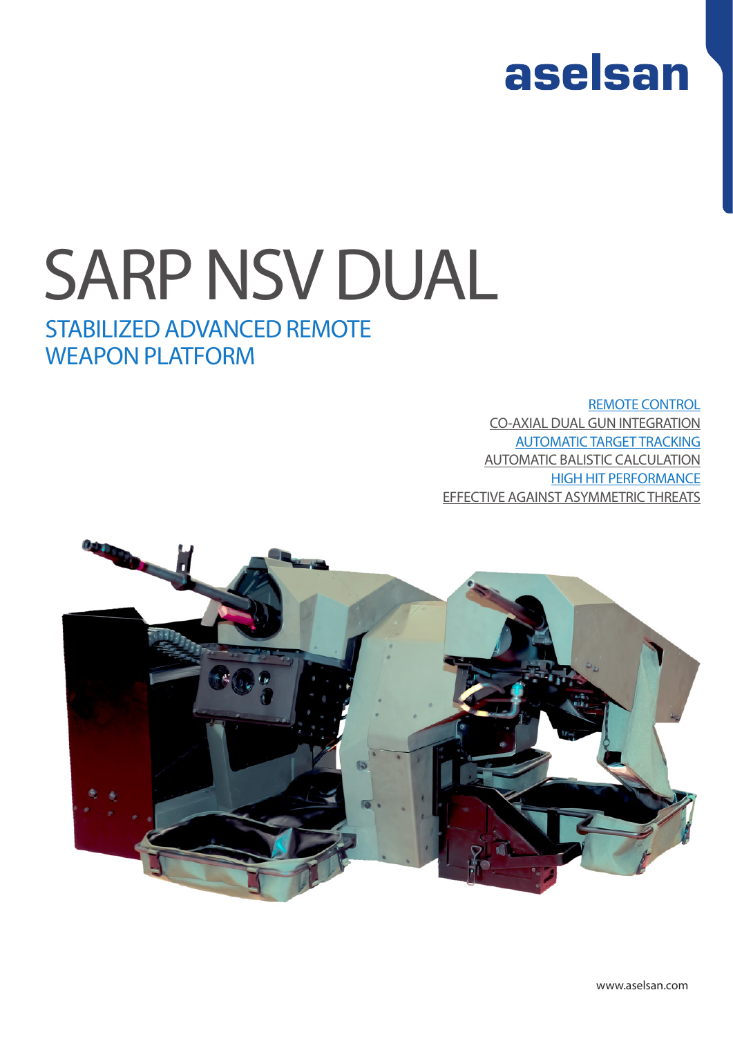

# SARP NSV DUAL

### STABILIZED ADVANCED REMOTE WEAPON PLATFORM

### REMOTE CONTROL

CO-AXIAL DUAL GUN INTEGRATION AUTOMATIC TARGET TRACKING AUTOMATIC BALISTIC CALCULATION HIGH HIT PERFORMANCE EFFECTIVE AGAINST ASYMMETRIC THREATS